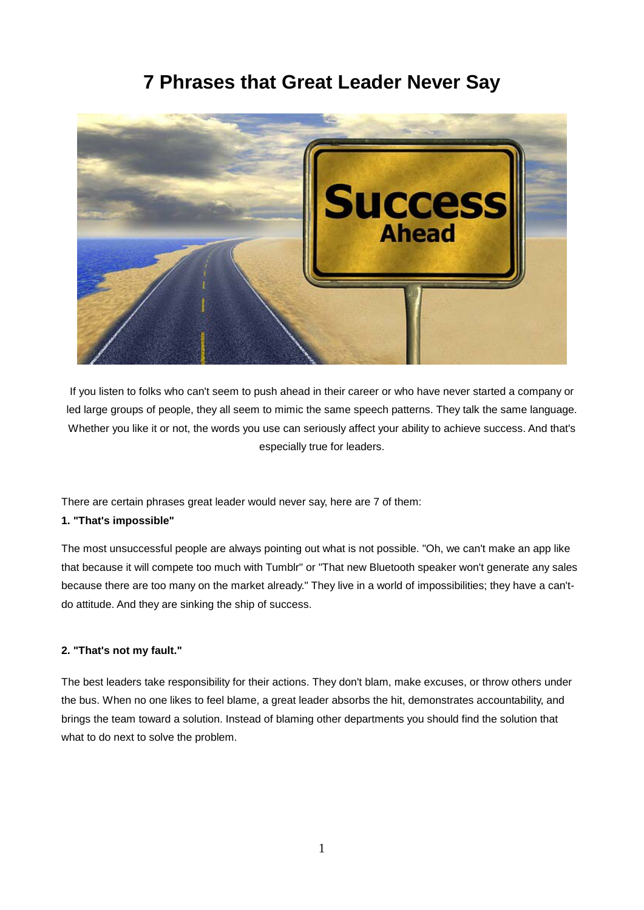# **7 Phrases that Great Leader Never Say**



If you listen to folks who can't seem to push ahead in their career or who have never started a company or led large groups of people, they all seem to mimic the same speech patterns. They talk the same language. Whether you like it or not, the words you use can seriously affect your ability to achieve success. And that's especially true for leaders.

There are certain phrases great leader would never say, here are 7 of them:

# **1. "That's impossible"**

The most unsuccessful people are always pointing out what is not possible. "Oh, we can't make an app like that because it will compete too much with Tumblr" or "That new Bluetooth speaker won't generate any sales because there are too many on the market already." They live in a world of impossibilities; they have a can'tdo attitude. And they are sinking the ship of success.

# **2. "That's not my fault."**

The best leaders take responsibility for their actions. They don't blam, make excuses, or throw others under the bus. When no one likes to feel blame, a great leader absorbs the hit, demonstrates accountability, and brings the team toward a solution. Instead of blaming other departments you should find the solution that what to do next to solve the problem.